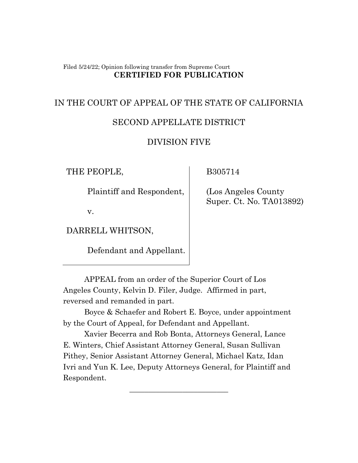#### Filed 5/24/22; Opinion following transfer from Supreme Court **CERTIFIED FOR PUBLICATION**

# IN THE COURT OF APPEAL OF THE STATE OF CALIFORNIA

## SECOND APPELLATE DISTRICT

## DIVISION FIVE

THE PEOPLE,

Plaintiff and Respondent,

B305714

 (Los Angeles County Super. Ct. No. TA013892)

v.

DARRELL WHITSON,

Defendant and Appellant.

APPEAL from an order of the Superior Court of Los Angeles County, Kelvin D. Filer, Judge. Affirmed in part, reversed and remanded in part.

Boyce & Schaefer and Robert E. Boyce, under appointment by the Court of Appeal, for Defendant and Appellant.

Xavier Becerra and Rob Bonta, Attorneys General, Lance E. Winters, Chief Assistant Attorney General, Susan Sullivan Pithey, Senior Assistant Attorney General, Michael Katz, Idan Ivri and Yun K. Lee, Deputy Attorneys General, for Plaintiff and Respondent.

\_\_\_\_\_\_\_\_\_\_\_\_\_\_\_\_\_\_\_\_\_\_\_\_\_\_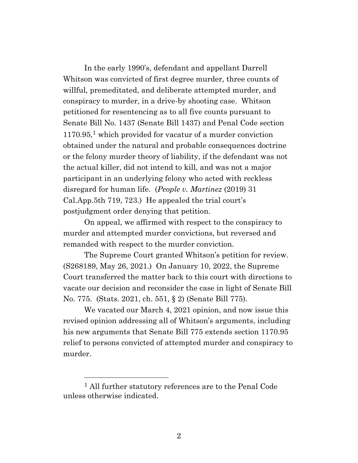In the early 1990's, defendant and appellant Darrell Whitson was convicted of first degree murder, three counts of willful, premeditated, and deliberate attempted murder, and conspiracy to murder, in a drive-by shooting case. Whitson petitioned for resentencing as to all five counts pursuant to Senate Bill No. 1437 (Senate Bill 1437) and Penal Code section  $1170.95$ <sup>1</sup> which provided for vacatur of a murder conviction obtained under the natural and probable consequences doctrine or the felony murder theory of liability, if the defendant was not the actual killer, did not intend to kill, and was not a major participant in an underlying felony who acted with reckless disregard for human life. (*People v. Martinez* (2019) 31 Cal.App.5th 719, 723.) He appealed the trial court's postjudgment order denying that petition.

On appeal, we affirmed with respect to the conspiracy to murder and attempted murder convictions, but reversed and remanded with respect to the murder conviction.

The Supreme Court granted Whitson's petition for review. (S268189, May 26, 2021.) On January 10, 2022, the Supreme Court transferred the matter back to this court with directions to vacate our decision and reconsider the case in light of Senate Bill No. 775. (Stats. 2021, ch. 551, § 2) (Senate Bill 775).

We vacated our March 4, 2021 opinion, and now issue this revised opinion addressing all of Whitson's arguments, including his new arguments that Senate Bill 775 extends section 1170.95 relief to persons convicted of attempted murder and conspiracy to murder.

<sup>1</sup> All further statutory references are to the Penal Code unless otherwise indicated.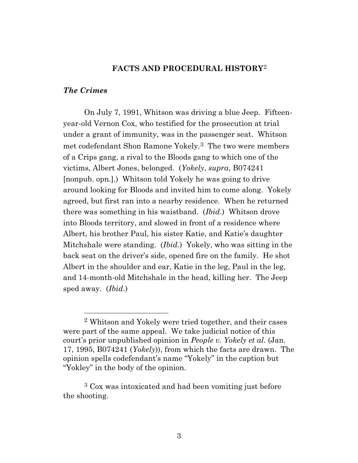### **FACTS AND PROCEDURAL HISTORY**<sup>2</sup>

### *The Crimes*

On July 7, 1991, Whitson was driving a blue Jeep. Fifteenyear-old Vernon Cox, who testified for the prosecution at trial under a grant of immunity, was in the passenger seat. Whitson met codefendant Shon Ramone Yokely.3 The two were members of a Crips gang, a rival to the Bloods gang to which one of the victims, Albert Jones, belonged. (*Yokely*, *supra*, B074241 [nonpub. opn.].) Whitson told Yokely he was going to drive around looking for Bloods and invited him to come along. Yokely agreed, but first ran into a nearby residence. When he returned there was something in his waistband. (*Ibid*.) Whitson drove into Bloods territory, and slowed in front of a residence where Albert, his brother Paul, his sister Katie, and Katie's daughter Mitchshale were standing. (*Ibid.*) Yokely, who was sitting in the back seat on the driver's side, opened fire on the family. He shot Albert in the shoulder and ear, Katie in the leg, Paul in the leg, and 14-month-old Mitchshale in the head, killing her. The Jeep sped away. (*Ibid*.)

<sup>2</sup> Whitson and Yokely were tried together, and their cases were part of the same appeal. We take judicial notice of this court's prior unpublished opinion in *People v. Yokely et al.* (Jan. 17, 1995, B074241 (*Yokely*)), from which the facts are drawn. The opinion spells codefendant's name "Yokely" in the caption but "Yokley" in the body of the opinion.

<sup>3</sup> Cox was intoxicated and had been vomiting just before the shooting.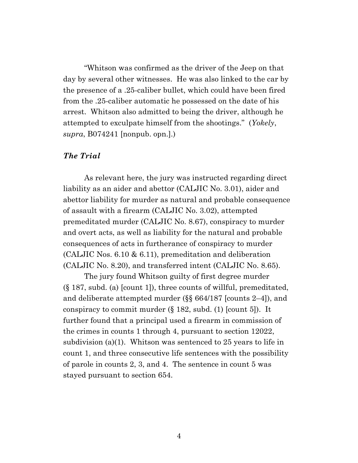"Whitson was confirmed as the driver of the Jeep on that day by several other witnesses. He was also linked to the car by the presence of a .25-caliber bullet, which could have been fired from the .25-caliber automatic he possessed on the date of his arrest. Whitson also admitted to being the driver, although he attempted to exculpate himself from the shootings." (*Yokely*, *supra*, B074241 [nonpub. opn.].)

### *The Trial*

As relevant here, the jury was instructed regarding direct liability as an aider and abettor (CALJIC No. 3.01), aider and abettor liability for murder as natural and probable consequence of assault with a firearm (CALJIC No. 3.02), attempted premeditated murder (CALJIC No. 8.67), conspiracy to murder and overt acts, as well as liability for the natural and probable consequences of acts in furtherance of conspiracy to murder (CALJIC Nos. 6.10 & 6.11), premeditation and deliberation (CALJIC No. 8.20), and transferred intent (CALJIC No. 8.65).

The jury found Whitson guilty of first degree murder (§ 187, subd. (a) [count 1]), three counts of willful, premeditated, and deliberate attempted murder (§§ 664/187 [counts 2–4]), and conspiracy to commit murder (§ 182, subd. (1) [count 5]). It further found that a principal used a firearm in commission of the crimes in counts 1 through 4, pursuant to section 12022, subdivision (a)(1). Whitson was sentenced to 25 years to life in count 1, and three consecutive life sentences with the possibility of parole in counts 2, 3, and 4. The sentence in count 5 was stayed pursuant to section 654.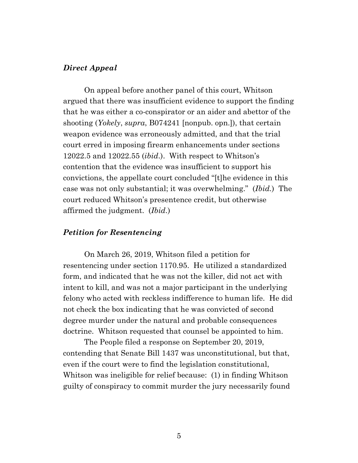#### *Direct Appeal*

On appeal before another panel of this court, Whitson argued that there was insufficient evidence to support the finding that he was either a co-conspirator or an aider and abettor of the shooting (*Yokely*, *supra*, B074241 [nonpub. opn.]), that certain weapon evidence was erroneously admitted, and that the trial court erred in imposing firearm enhancements under sections 12022.5 and 12022.55 (*ibid*.). With respect to Whitson's contention that the evidence was insufficient to support his convictions, the appellate court concluded "[t]he evidence in this case was not only substantial; it was overwhelming." (*Ibid.*) The court reduced Whitson's presentence credit, but otherwise affirmed the judgment. (*Ibid*.)

## *Petition for Resentencing*

On March 26, 2019, Whitson filed a petition for resentencing under section 1170.95. He utilized a standardized form, and indicated that he was not the killer, did not act with intent to kill, and was not a major participant in the underlying felony who acted with reckless indifference to human life. He did not check the box indicating that he was convicted of second degree murder under the natural and probable consequences doctrine. Whitson requested that counsel be appointed to him.

The People filed a response on September 20, 2019, contending that Senate Bill 1437 was unconstitutional, but that, even if the court were to find the legislation constitutional, Whitson was ineligible for relief because: (1) in finding Whitson guilty of conspiracy to commit murder the jury necessarily found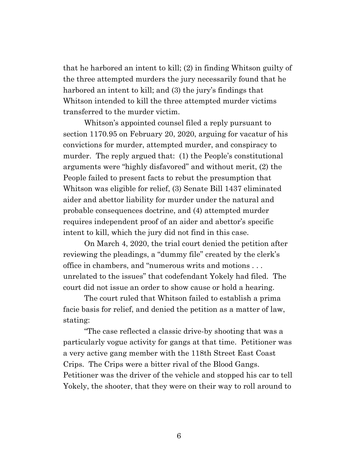that he harbored an intent to kill; (2) in finding Whitson guilty of the three attempted murders the jury necessarily found that he harbored an intent to kill; and (3) the jury's findings that Whitson intended to kill the three attempted murder victims transferred to the murder victim.

Whitson's appointed counsel filed a reply pursuant to section 1170.95 on February 20, 2020, arguing for vacatur of his convictions for murder, attempted murder, and conspiracy to murder. The reply argued that: (1) the People's constitutional arguments were "highly disfavored" and without merit, (2) the People failed to present facts to rebut the presumption that Whitson was eligible for relief, (3) Senate Bill 1437 eliminated aider and abettor liability for murder under the natural and probable consequences doctrine, and (4) attempted murder requires independent proof of an aider and abettor's specific intent to kill, which the jury did not find in this case.

On March 4, 2020, the trial court denied the petition after reviewing the pleadings, a "dummy file" created by the clerk's office in chambers, and "numerous writs and motions . . . unrelated to the issues" that codefendant Yokely had filed. The court did not issue an order to show cause or hold a hearing.

The court ruled that Whitson failed to establish a prima facie basis for relief, and denied the petition as a matter of law, stating:

"The case reflected a classic drive-by shooting that was a particularly vogue activity for gangs at that time. Petitioner was a very active gang member with the 118th Street East Coast Crips. The Crips were a bitter rival of the Blood Gangs. Petitioner was the driver of the vehicle and stopped his car to tell Yokely, the shooter, that they were on their way to roll around to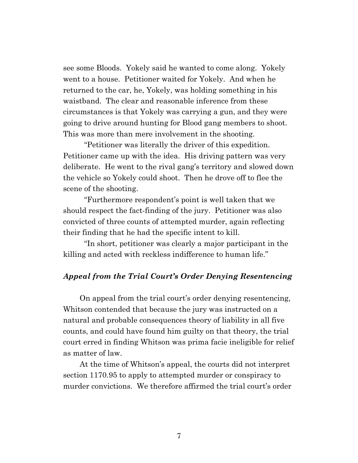see some Bloods. Yokely said he wanted to come along. Yokely went to a house. Petitioner waited for Yokely. And when he returned to the car, he, Yokely, was holding something in his waistband. The clear and reasonable inference from these circumstances is that Yokely was carrying a gun, and they were going to drive around hunting for Blood gang members to shoot. This was more than mere involvement in the shooting.

"Petitioner was literally the driver of this expedition. Petitioner came up with the idea. His driving pattern was very deliberate. He went to the rival gang's territory and slowed down the vehicle so Yokely could shoot. Then he drove off to flee the scene of the shooting.

"Furthermore respondent's point is well taken that we should respect the fact-finding of the jury. Petitioner was also convicted of three counts of attempted murder, again reflecting their finding that he had the specific intent to kill.

"In short, petitioner was clearly a major participant in the killing and acted with reckless indifference to human life."

### *Appeal from the Trial Court's Order Denying Resentencing*

On appeal from the trial court's order denying resentencing, Whitson contended that because the jury was instructed on a natural and probable consequences theory of liability in all five counts, and could have found him guilty on that theory, the trial court erred in finding Whitson was prima facie ineligible for relief as matter of law.

At the time of Whitson's appeal, the courts did not interpret section 1170.95 to apply to attempted murder or conspiracy to murder convictions. We therefore affirmed the trial court's order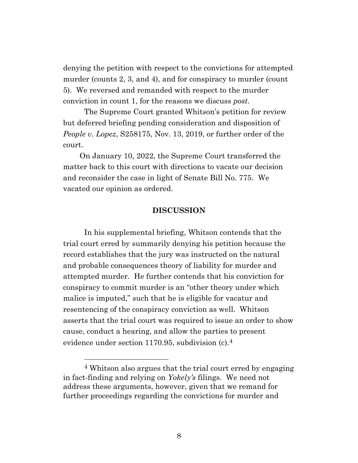denying the petition with respect to the convictions for attempted murder (counts 2, 3, and 4), and for conspiracy to murder (count 5). We reversed and remanded with respect to the murder conviction in count 1, for the reasons we discuss *post*.

The Supreme Court granted Whitson's petition for review but deferred briefing pending consideration and disposition of *People v. Lopez*, S258175, Nov. 13, 2019, or further order of the court.

On January 10, 2022, the Supreme Court transferred the matter back to this court with directions to vacate our decision and reconsider the case in light of Senate Bill No. 775. We vacated our opinion as ordered.

#### **DISCUSSION**

In his supplemental briefing, Whitson contends that the trial court erred by summarily denying his petition because the record establishes that the jury was instructed on the natural and probable consequences theory of liability for murder and attempted murder. He further contends that his conviction for conspiracy to commit murder is an "other theory under which malice is imputed," such that he is eligible for vacatur and resentencing of the conspiracy conviction as well. Whitson asserts that the trial court was required to issue an order to show cause, conduct a hearing, and allow the parties to present evidence under section 1170.95, subdivision  $(c)$ .<sup>4</sup>

<sup>4</sup> Whitson also argues that the trial court erred by engaging in fact-finding and relying on *Yokely's* filings. We need not address these arguments, however, given that we remand for further proceedings regarding the convictions for murder and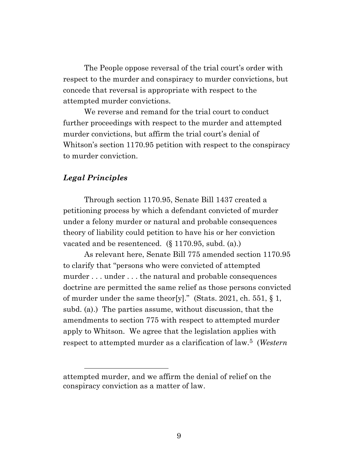The People oppose reversal of the trial court's order with respect to the murder and conspiracy to murder convictions, but concede that reversal is appropriate with respect to the attempted murder convictions.

We reverse and remand for the trial court to conduct further proceedings with respect to the murder and attempted murder convictions, but affirm the trial court's denial of Whitson's section 1170.95 petition with respect to the conspiracy to murder conviction.

## *Legal Principles*

Through section 1170.95, Senate Bill 1437 created a petitioning process by which a defendant convicted of murder under a felony murder or natural and probable consequences theory of liability could petition to have his or her conviction vacated and be resentenced. (§ 1170.95, subd. (a).)

As relevant here, Senate Bill 775 amended section 1170.95 to clarify that "persons who were convicted of attempted murder . . . under . . . the natural and probable consequences doctrine are permitted the same relief as those persons convicted of murder under the same theor[y]." (Stats. 2021, ch. 551, § 1, subd. (a).) The parties assume, without discussion, that the amendments to section 775 with respect to attempted murder apply to Whitson. We agree that the legislation applies with respect to attempted murder as a clarification of law.5 (*Western* 

attempted murder, and we affirm the denial of relief on the conspiracy conviction as a matter of law.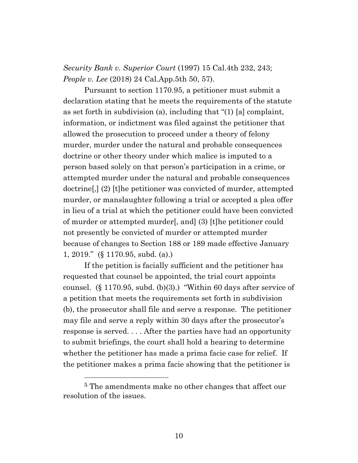*Security Bank v. Superior Court* (1997) 15 Cal.4th 232, 243; *People v. Lee* (2018) 24 Cal.App.5th 50, 57).

Pursuant to section 1170.95, a petitioner must submit a declaration stating that he meets the requirements of the statute as set forth in subdivision (a), including that "(1) [a] complaint, information, or indictment was filed against the petitioner that allowed the prosecution to proceed under a theory of felony murder, murder under the natural and probable consequences doctrine or other theory under which malice is imputed to a person based solely on that person's participation in a crime, or attempted murder under the natural and probable consequences doctrine[,] (2) [t]he petitioner was convicted of murder, attempted murder, or manslaughter following a trial or accepted a plea offer in lieu of a trial at which the petitioner could have been convicted of murder or attempted murder[, and] (3) [t]he petitioner could not presently be convicted of murder or attempted murder because of changes to Section 188 or 189 made effective January 1, 2019." (§ 1170.95, subd. (a).)

If the petition is facially sufficient and the petitioner has requested that counsel be appointed, the trial court appoints counsel. (§ 1170.95, subd. (b)(3).) "Within 60 days after service of a petition that meets the requirements set forth in subdivision (b), the prosecutor shall file and serve a response. The petitioner may file and serve a reply within 30 days after the prosecutor's response is served. . . . After the parties have had an opportunity to submit briefings, the court shall hold a hearing to determine whether the petitioner has made a prima facie case for relief. If the petitioner makes a prima facie showing that the petitioner is

<sup>5</sup> The amendments make no other changes that affect our resolution of the issues.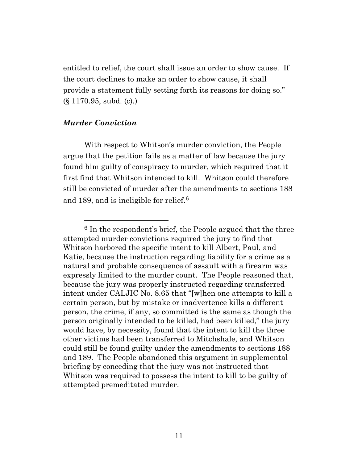entitled to relief, the court shall issue an order to show cause. If the court declines to make an order to show cause, it shall provide a statement fully setting forth its reasons for doing so." (§ 1170.95, subd. (c).)

### *Murder Conviction*

With respect to Whitson's murder conviction, the People argue that the petition fails as a matter of law because the jury found him guilty of conspiracy to murder, which required that it first find that Whitson intended to kill. Whitson could therefore still be convicted of murder after the amendments to sections 188 and 189, and is ineligible for relief. 6

 $6$  In the respondent's brief, the People argued that the three attempted murder convictions required the jury to find that Whitson harbored the specific intent to kill Albert, Paul, and Katie, because the instruction regarding liability for a crime as a natural and probable consequence of assault with a firearm was expressly limited to the murder count. The People reasoned that, because the jury was properly instructed regarding transferred intent under CALJIC No. 8.65 that "[w]hen one attempts to kill a certain person, but by mistake or inadvertence kills a different person, the crime, if any, so committed is the same as though the person originally intended to be killed, had been killed," the jury would have, by necessity, found that the intent to kill the three other victims had been transferred to Mitchshale, and Whitson could still be found guilty under the amendments to sections 188 and 189. The People abandoned this argument in supplemental briefing by conceding that the jury was not instructed that Whitson was required to possess the intent to kill to be guilty of attempted premeditated murder.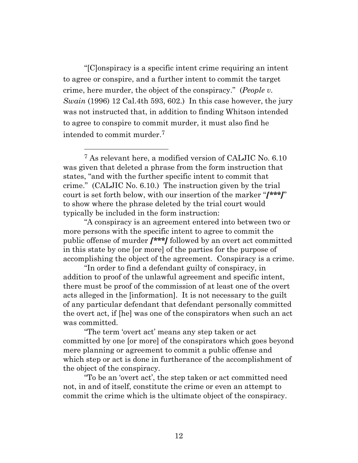"[C]onspiracy is a specific intent crime requiring an intent to agree or conspire, and a further intent to commit the target crime, here murder, the object of the conspiracy." (*People v. Swain* (1996) 12 Cal.4th 593, 602.) In this case however, the jury was not instructed that, in addition to finding Whitson intended to agree to conspire to commit murder, it must also find he intended to commit murder.<sup>7</sup>

<sup>7</sup> As relevant here, a modified version of CALJIC No. 6.10 was given that deleted a phrase from the form instruction that states, "and with the further specific intent to commit that crime." (CALJIC No. 6.10.) The instruction given by the trial court is set forth below, with our insertion of the marker "*[\*\*\*]*" to show where the phrase deleted by the trial court would typically be included in the form instruction:

"A conspiracy is an agreement entered into between two or more persons with the specific intent to agree to commit the public offense of murder *[\*\*\*]* followed by an overt act committed in this state by one [or more] of the parties for the purpose of accomplishing the object of the agreement. Conspiracy is a crime.

"In order to find a defendant guilty of conspiracy, in addition to proof of the unlawful agreement and specific intent, there must be proof of the commission of at least one of the overt acts alleged in the [information]. It is not necessary to the guilt of any particular defendant that defendant personally committed the overt act, if [he] was one of the conspirators when such an act was committed.

"The term 'overt act' means any step taken or act committed by one [or more] of the conspirators which goes beyond mere planning or agreement to commit a public offense and which step or act is done in furtherance of the accomplishment of the object of the conspiracy.

"To be an 'overt act', the step taken or act committed need not, in and of itself, constitute the crime or even an attempt to commit the crime which is the ultimate object of the conspiracy.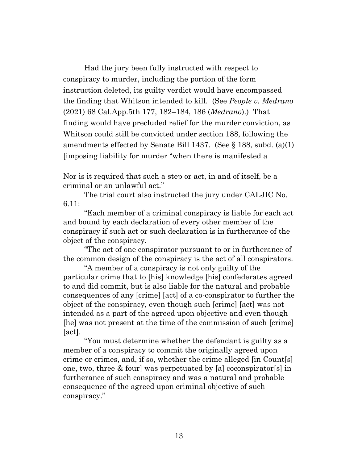Had the jury been fully instructed with respect to conspiracy to murder, including the portion of the form instruction deleted, its guilty verdict would have encompassed the finding that Whitson intended to kill. (See *People v. Medrano* (2021) 68 Cal.App.5th 177, 182–184, 186 (*Medrano*).) That finding would have precluded relief for the murder conviction, as Whitson could still be convicted under section 188, following the amendments effected by Senate Bill 1437. (See § 188, subd. (a)(1) [imposing liability for murder "when there is manifested a

"Each member of a criminal conspiracy is liable for each act and bound by each declaration of every other member of the conspiracy if such act or such declaration is in furtherance of the object of the conspiracy.

"The act of one conspirator pursuant to or in furtherance of the common design of the conspiracy is the act of all conspirators.

"A member of a conspiracy is not only guilty of the particular crime that to [his] knowledge [his] confederates agreed to and did commit, but is also liable for the natural and probable consequences of any [crime] [act] of a co-conspirator to further the object of the conspiracy, even though such [crime] [act] was not intended as a part of the agreed upon objective and even though [he] was not present at the time of the commission of such [crime] [act].

"You must determine whether the defendant is guilty as a member of a conspiracy to commit the originally agreed upon crime or crimes, and, if so, whether the crime alleged [in Count[s] one, two, three & four] was perpetuated by [a] coconspirator[s] in furtherance of such conspiracy and was a natural and probable consequence of the agreed upon criminal objective of such conspiracy."

Nor is it required that such a step or act, in and of itself, be a criminal or an unlawful act."

The trial court also instructed the jury under CALJIC No. 6.11: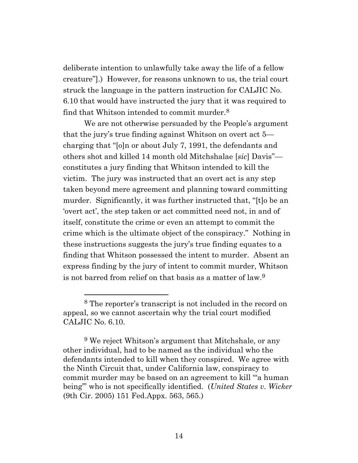deliberate intention to unlawfully take away the life of a fellow creature"].) However, for reasons unknown to us, the trial court struck the language in the pattern instruction for CALJIC No. 6.10 that would have instructed the jury that it was required to find that Whitson intended to commit murder.<sup>8</sup>

We are not otherwise persuaded by the People's argument that the jury's true finding against Whitson on overt act 5 charging that "[o]n or about July 7, 1991, the defendants and others shot and killed 14 month old Mitchshalae [*sic*] Davis" constitutes a jury finding that Whitson intended to kill the victim. The jury was instructed that an overt act is any step taken beyond mere agreement and planning toward committing murder. Significantly, it was further instructed that, "[t]o be an 'overt act', the step taken or act committed need not, in and of itself, constitute the crime or even an attempt to commit the crime which is the ultimate object of the conspiracy." Nothing in these instructions suggests the jury's true finding equates to a finding that Whitson possessed the intent to murder. Absent an express finding by the jury of intent to commit murder, Whitson is not barred from relief on that basis as a matter of law.<sup>9</sup>

<sup>8</sup> The reporter's transcript is not included in the record on appeal, so we cannot ascertain why the trial court modified CALJIC No. 6.10.

 $9$  We reject Whitson's argument that Mitchshale, or any other individual, had to be named as the individual who the defendants intended to kill when they conspired. We agree with the Ninth Circuit that, under California law, conspiracy to commit murder may be based on an agreement to kill "'a human being'" who is not specifically identified. (*United States v. Wicker* (9th Cir. 2005) 151 Fed.Appx. 563, 565.)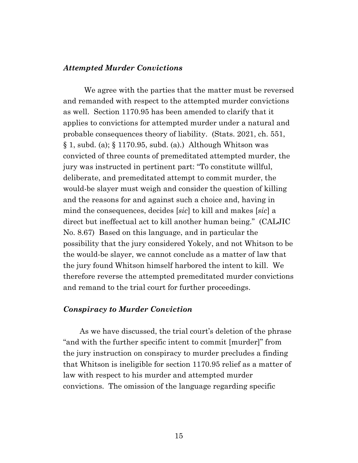#### *Attempted Murder Convictions*

We agree with the parties that the matter must be reversed and remanded with respect to the attempted murder convictions as well. Section 1170.95 has been amended to clarify that it applies to convictions for attempted murder under a natural and probable consequences theory of liability. (Stats. 2021, ch. 551, § 1, subd. (a); § 1170.95, subd. (a).) Although Whitson was convicted of three counts of premeditated attempted murder, the jury was instructed in pertinent part: "To constitute willful, deliberate, and premeditated attempt to commit murder, the would-be slayer must weigh and consider the question of killing and the reasons for and against such a choice and, having in mind the consequences, decides [*sic*] to kill and makes [*sic*] a direct but ineffectual act to kill another human being." (CALJIC No. 8.67) Based on this language, and in particular the possibility that the jury considered Yokely, and not Whitson to be the would-be slayer, we cannot conclude as a matter of law that the jury found Whitson himself harbored the intent to kill. We therefore reverse the attempted premeditated murder convictions and remand to the trial court for further proceedings.

### *Conspiracy to Murder Conviction*

As we have discussed, the trial court's deletion of the phrase "and with the further specific intent to commit [murder]" from the jury instruction on conspiracy to murder precludes a finding that Whitson is ineligible for section 1170.95 relief as a matter of law with respect to his murder and attempted murder convictions. The omission of the language regarding specific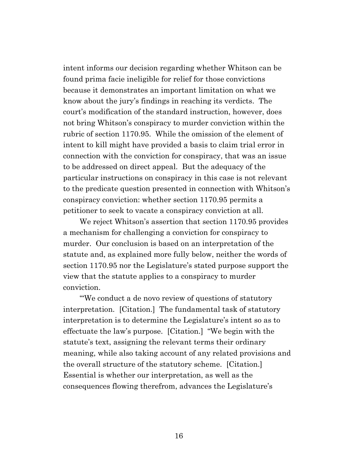intent informs our decision regarding whether Whitson can be found prima facie ineligible for relief for those convictions because it demonstrates an important limitation on what we know about the jury's findings in reaching its verdicts. The court's modification of the standard instruction, however, does not bring Whitson's conspiracy to murder conviction within the rubric of section 1170.95. While the omission of the element of intent to kill might have provided a basis to claim trial error in connection with the conviction for conspiracy, that was an issue to be addressed on direct appeal. But the adequacy of the particular instructions on conspiracy in this case is not relevant to the predicate question presented in connection with Whitson's conspiracy conviction: whether section 1170.95 permits a petitioner to seek to vacate a conspiracy conviction at all.

We reject Whitson's assertion that section 1170.95 provides a mechanism for challenging a conviction for conspiracy to murder. Our conclusion is based on an interpretation of the statute and, as explained more fully below, neither the words of section 1170.95 nor the Legislature's stated purpose support the view that the statute applies to a conspiracy to murder conviction.

"'We conduct a de novo review of questions of statutory interpretation. [Citation.] The fundamental task of statutory interpretation is to determine the Legislature's intent so as to effectuate the law's purpose. [Citation.] "We begin with the statute's text, assigning the relevant terms their ordinary meaning, while also taking account of any related provisions and the overall structure of the statutory scheme. [Citation.] Essential is whether our interpretation, as well as the consequences flowing therefrom, advances the Legislature's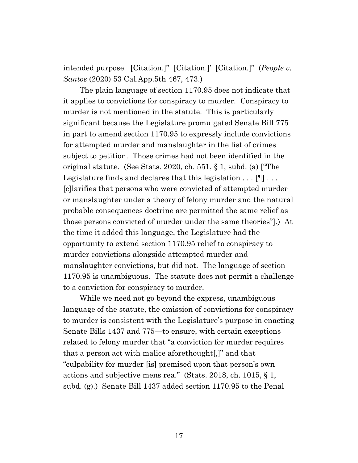intended purpose. [Citation.]" [Citation.]' [Citation.]" (*People v. Santos* (2020) 53 Cal.App.5th 467, 473.)

The plain language of section 1170.95 does not indicate that it applies to convictions for conspiracy to murder. Conspiracy to murder is not mentioned in the statute. This is particularly significant because the Legislature promulgated Senate Bill 775 in part to amend section 1170.95 to expressly include convictions for attempted murder and manslaughter in the list of crimes subject to petition. Those crimes had not been identified in the original statute. (See Stats. 2020, ch. 551, § 1, subd. (a) ["The Legislature finds and declares that this legislation . . . [¶] . . . [c]larifies that persons who were convicted of attempted murder or manslaughter under a theory of felony murder and the natural probable consequences doctrine are permitted the same relief as those persons convicted of murder under the same theories"].) At the time it added this language, the Legislature had the opportunity to extend section 1170.95 relief to conspiracy to murder convictions alongside attempted murder and manslaughter convictions, but did not. The language of section 1170.95 is unambiguous. The statute does not permit a challenge to a conviction for conspiracy to murder.

While we need not go beyond the express, unambiguous language of the statute, the omission of convictions for conspiracy to murder is consistent with the Legislature's purpose in enacting Senate Bills 1437 and 775—to ensure, with certain exceptions related to felony murder that "a conviction for murder requires that a person act with malice aforethought[,]" and that "culpability for murder [is] premised upon that person's own actions and subjective mens rea." (Stats. 2018, ch. 1015, § 1, subd. (g).) Senate Bill 1437 added section 1170.95 to the Penal

17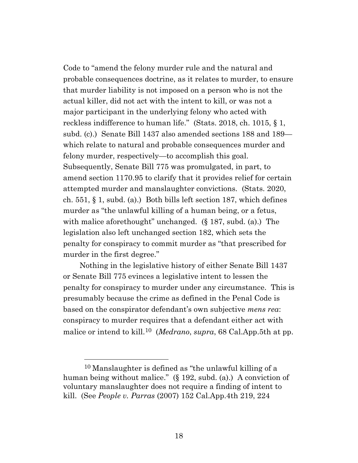Code to "amend the felony murder rule and the natural and probable consequences doctrine, as it relates to murder, to ensure that murder liability is not imposed on a person who is not the actual killer, did not act with the intent to kill, or was not a major participant in the underlying felony who acted with reckless indifference to human life." (Stats. 2018, ch. 1015, § 1, subd. (c).) Senate Bill 1437 also amended sections 188 and 189 which relate to natural and probable consequences murder and felony murder, respectively—to accomplish this goal. Subsequently, Senate Bill 775 was promulgated, in part, to amend section 1170.95 to clarify that it provides relief for certain attempted murder and manslaughter convictions. (Stats. 2020, ch.  $551, \S 1$ , subd. (a).) Both bills left section 187, which defines murder as "the unlawful killing of a human being, or a fetus, with malice aforethought" unchanged. (§ 187, subd. (a).) The legislation also left unchanged section 182, which sets the penalty for conspiracy to commit murder as "that prescribed for murder in the first degree."

Nothing in the legislative history of either Senate Bill 1437 or Senate Bill 775 evinces a legislative intent to lessen the penalty for conspiracy to murder under any circumstance. This is presumably because the crime as defined in the Penal Code is based on the conspirator defendant's own subjective *mens rea*: conspiracy to murder requires that a defendant either act with malice or intend to kill.10 (*Medrano*, *supra*, 68 Cal.App.5th at pp.

<sup>10</sup> Manslaughter is defined as "the unlawful killing of a human being without malice." (§ 192, subd. (a).) A conviction of voluntary manslaughter does not require a finding of intent to kill. (See *People v. Parras* (2007) 152 Cal.App.4th 219, 224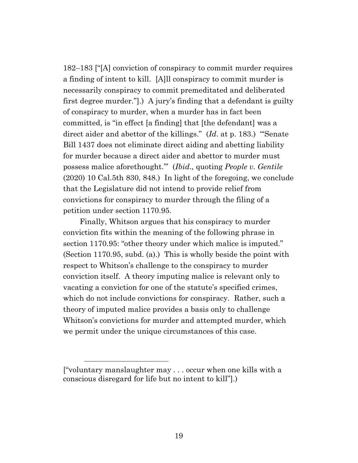182–183 ["[A] conviction of conspiracy to commit murder requires a finding of intent to kill. [A]ll conspiracy to commit murder is necessarily conspiracy to commit premeditated and deliberated first degree murder."].) A jury's finding that a defendant is guilty of conspiracy to murder, when a murder has in fact been committed, is "in effect [a finding] that [the defendant] was a direct aider and abettor of the killings." (*Id*. at p. 183.) "'Senate Bill 1437 does not eliminate direct aiding and abetting liability for murder because a direct aider and abettor to murder must possess malice aforethought.'" (*Ibid*.*,* quoting *People v. Gentile* (2020) 10 Cal.5th 830, 848.) In light of the foregoing, we conclude that the Legislature did not intend to provide relief from convictions for conspiracy to murder through the filing of a petition under section 1170.95.

Finally, Whitson argues that his conspiracy to murder conviction fits within the meaning of the following phrase in section 1170.95: "other theory under which malice is imputed." (Section 1170.95, subd. (a).) This is wholly beside the point with respect to Whitson's challenge to the conspiracy to murder conviction itself. A theory imputing malice is relevant only to vacating a conviction for one of the statute's specified crimes, which do not include convictions for conspiracy. Rather, such a theory of imputed malice provides a basis only to challenge Whitson's convictions for murder and attempted murder, which we permit under the unique circumstances of this case.

<sup>[&</sup>quot;voluntary manslaughter may . . . occur when one kills with a conscious disregard for life but no intent to kill"].)